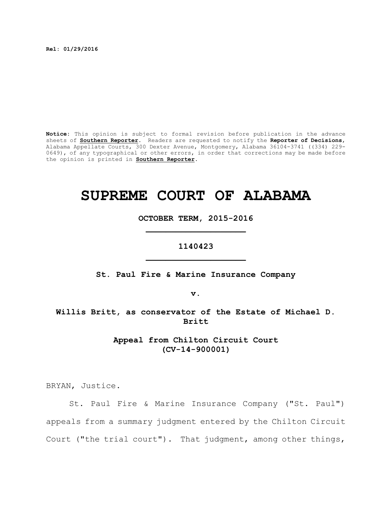**Rel: 01/29/2016**

**Notice:** This opinion is subject to formal revision before publication in the advance sheets of **Southern Reporter**. Readers are requested to notify the **Reporter of Decisions**, Alabama Appellate Courts, 300 Dexter Avenue, Montgomery, Alabama 36104-3741 ((334) 229- 0649), of any typographical or other errors, in order that corrections may be made before the opinion is printed in **Southern Reporter**.

# **SUPREME COURT OF ALABAMA**

**OCTOBER TERM, 2015-2016 \_\_\_\_\_\_\_\_\_\_\_\_\_\_\_\_\_\_\_\_**

# **1140423 \_\_\_\_\_\_\_\_\_\_\_\_\_\_\_\_\_\_\_\_**

**St. Paul Fire & Marine Insurance Company**

**v.**

**Willis Britt, as conservator of the Estate of Michael D. Britt**

> **Appeal from Chilton Circuit Court (CV-14-900001)**

BRYAN, Justice.

St. Paul Fire & Marine Insurance Company ("St. Paul") appeals from a summary judgment entered by the Chilton Circuit Court ("the trial court"). That judgment, among other things,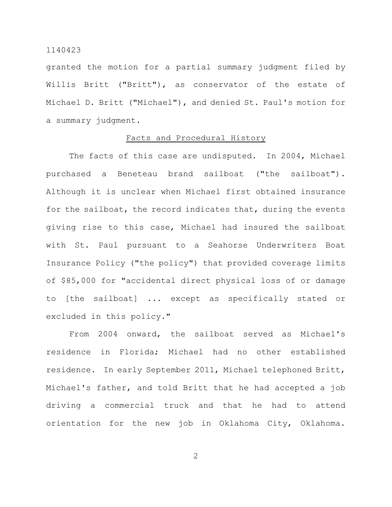granted the motion for a partial summary judgment filed by Willis Britt ("Britt"), as conservator of the estate of Michael D. Britt ("Michael"), and denied St. Paul's motion for a summary judgment.

#### Facts and Procedural History

The facts of this case are undisputed. In 2004, Michael purchased a Beneteau brand sailboat ("the sailboat"). Although it is unclear when Michael first obtained insurance for the sailboat, the record indicates that, during the events giving rise to this case, Michael had insured the sailboat with St. Paul pursuant to a Seahorse Underwriters Boat Insurance Policy ("the policy") that provided coverage limits of \$85,000 for "accidental direct physical loss of or damage to [the sailboat] ... except as specifically stated or excluded in this policy."

From 2004 onward, the sailboat served as Michael's residence in Florida; Michael had no other established residence. In early September 2011, Michael telephoned Britt, Michael's father, and told Britt that he had accepted a job driving a commercial truck and that he had to attend orientation for the new job in Oklahoma City, Oklahoma.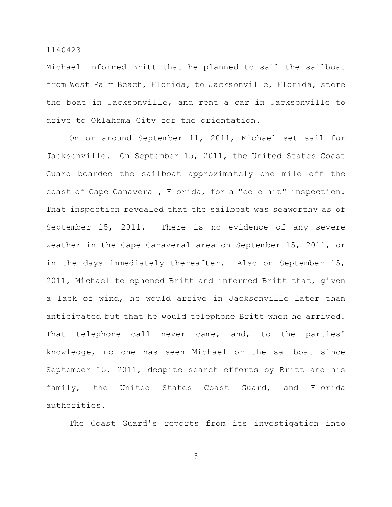Michael informed Britt that he planned to sail the sailboat from West Palm Beach, Florida, to Jacksonville, Florida, store the boat in Jacksonville, and rent a car in Jacksonville to drive to Oklahoma City for the orientation.

On or around September 11, 2011, Michael set sail for Jacksonville. On September 15, 2011, the United States Coast Guard boarded the sailboat approximately one mile off the coast of Cape Canaveral, Florida, for a "cold hit" inspection. That inspection revealed that the sailboat was seaworthy as of September 15, 2011. There is no evidence of any severe weather in the Cape Canaveral area on September 15, 2011, or in the days immediately thereafter. Also on September 15, 2011, Michael telephoned Britt and informed Britt that, given a lack of wind, he would arrive in Jacksonville later than anticipated but that he would telephone Britt when he arrived. That telephone call never came, and, to the parties' knowledge, no one has seen Michael or the sailboat since September 15, 2011, despite search efforts by Britt and his family, the United States Coast Guard, and Florida authorities.

The Coast Guard's reports from its investigation into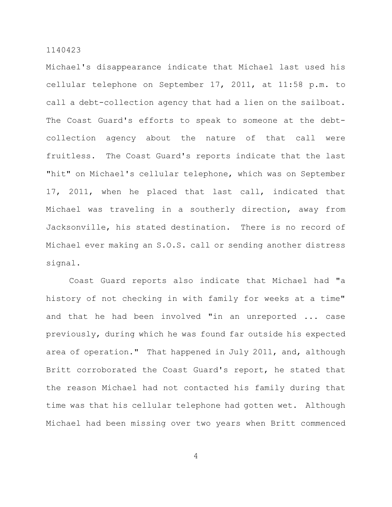Michael's disappearance indicate that Michael last used his cellular telephone on September 17, 2011, at 11:58 p.m. to call a debt-collection agency that had a lien on the sailboat. The Coast Guard's efforts to speak to someone at the debtcollection agency about the nature of that call were fruitless. The Coast Guard's reports indicate that the last "hit" on Michael's cellular telephone, which was on September 17, 2011, when he placed that last call, indicated that Michael was traveling in a southerly direction, away from Jacksonville, his stated destination. There is no record of Michael ever making an S.O.S. call or sending another distress signal.

Coast Guard reports also indicate that Michael had "a history of not checking in with family for weeks at a time" and that he had been involved "in an unreported ... case previously, during which he was found far outside his expected area of operation." That happened in July 2011, and, although Britt corroborated the Coast Guard's report, he stated that the reason Michael had not contacted his family during that time was that his cellular telephone had gotten wet. Although Michael had been missing over two years when Britt commenced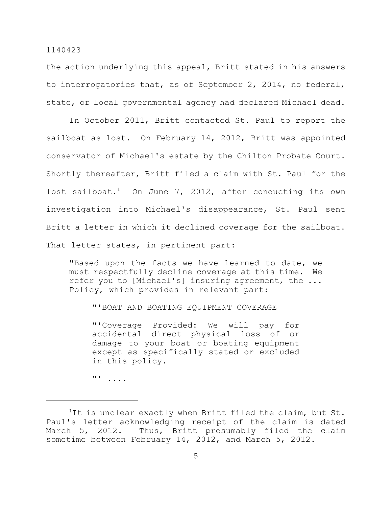the action underlying this appeal, Britt stated in his answers to interrogatories that, as of September 2, 2014, no federal, state, or local governmental agency had declared Michael dead.

In October 2011, Britt contacted St. Paul to report the sailboat as lost. On February 14, 2012, Britt was appointed conservator of Michael's estate by the Chilton Probate Court. Shortly thereafter, Britt filed a claim with St. Paul for the lost sailboat.<sup>1</sup> On June 7, 2012, after conducting its own investigation into Michael's disappearance, St. Paul sent Britt a letter in which it declined coverage for the sailboat. That letter states, in pertinent part:

"Based upon the facts we have learned to date, we must respectfully decline coverage at this time. We refer you to [Michael's] insuring agreement, the ... Policy, which provides in relevant part:

"'BOAT AND BOATING EQUIPMENT COVERAGE

"'Coverage Provided: We will pay for accidental direct physical loss of or damage to your boat or boating equipment except as specifically stated or excluded in this policy.

"' ....

<sup>&</sup>lt;sup>1</sup>It is unclear exactly when Britt filed the claim, but St. Paul's letter acknowledging receipt of the claim is dated March 5, 2012. Thus, Britt presumably filed the claim sometime between February 14, 2012, and March 5, 2012.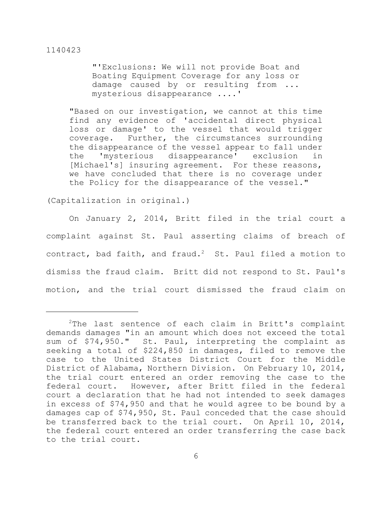"'Exclusions: We will not provide Boat and Boating Equipment Coverage for any loss or damage caused by or resulting from ... mysterious disappearance ....'

"Based on our investigation, we cannot at this time find any evidence of 'accidental direct physical loss or damage' to the vessel that would trigger coverage. Further, the circumstances surrounding the disappearance of the vessel appear to fall under the 'mysterious disappearance' exclusion in [Michael's] insuring agreement. For these reasons, we have concluded that there is no coverage under the Policy for the disappearance of the vessel."

(Capitalization in original.)

On January 2, 2014, Britt filed in the trial court a complaint against St. Paul asserting claims of breach of contract, bad faith, and fraud.<sup>2</sup> St. Paul filed a motion to dismiss the fraud claim. Britt did not respond to St. Paul's motion, and the trial court dismissed the fraud claim on

 $2$ The last sentence of each claim in Britt's complaint demands damages "in an amount which does not exceed the total sum of \$74,950." St. Paul, interpreting the complaint as seeking a total of \$224,850 in damages, filed to remove the case to the United States District Court for the Middle District of Alabama, Northern Division. On February 10, 2014, the trial court entered an order removing the case to the federal court. However, after Britt filed in the federal court a declaration that he had not intended to seek damages in excess of \$74,950 and that he would agree to be bound by a damages cap of \$74,950, St. Paul conceded that the case should be transferred back to the trial court. On April 10, 2014, the federal court entered an order transferring the case back to the trial court.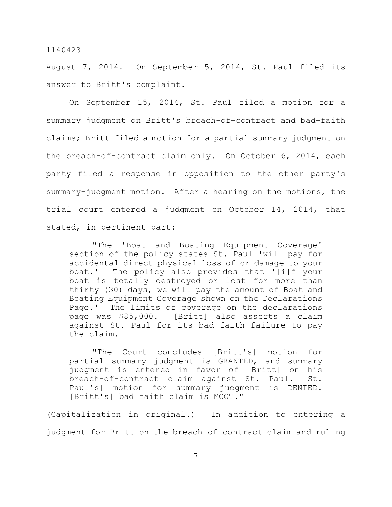August 7, 2014. On September 5, 2014, St. Paul filed its answer to Britt's complaint.

On September 15, 2014, St. Paul filed a motion for a summary judgment on Britt's breach-of-contract and bad-faith claims; Britt filed a motion for a partial summary judgment on the breach-of-contract claim only. On October 6, 2014, each party filed a response in opposition to the other party's summary-judgment motion. After a hearing on the motions, the trial court entered a judgment on October 14, 2014, that stated, in pertinent part:

"The 'Boat and Boating Equipment Coverage' section of the policy states St. Paul 'will pay for accidental direct physical loss of or damage to your boat.' The policy also provides that '[i]f your boat is totally destroyed or lost for more than thirty (30) days, we will pay the amount of Boat and Boating Equipment Coverage shown on the Declarations Page.' The limits of coverage on the declarations page was \$85,000. [Britt] also asserts a claim against St. Paul for its bad faith failure to pay the claim.

"The Court concludes [Britt's] motion for partial summary judgment is GRANTED, and summary judgment is entered in favor of [Britt] on his breach-of-contract claim against St. Paul. [St. Paul's] motion for summary judgment is DENIED. [Britt's] bad faith claim is MOOT."

(Capitalization in original.) In addition to entering a judgment for Britt on the breach-of-contract claim and ruling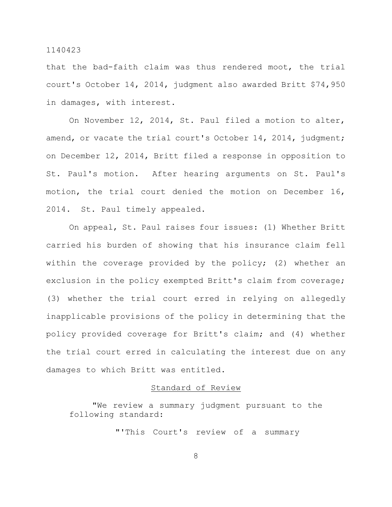that the bad-faith claim was thus rendered moot, the trial court's October 14, 2014, judgment also awarded Britt \$74,950 in damages, with interest.

On November 12, 2014, St. Paul filed a motion to alter, amend, or vacate the trial court's October 14, 2014, judgment; on December 12, 2014, Britt filed a response in opposition to St. Paul's motion. After hearing arguments on St. Paul's motion, the trial court denied the motion on December 16, 2014. St. Paul timely appealed.

On appeal, St. Paul raises four issues: (1) Whether Britt carried his burden of showing that his insurance claim fell within the coverage provided by the policy; (2) whether an exclusion in the policy exempted Britt's claim from coverage; (3) whether the trial court erred in relying on allegedly inapplicable provisions of the policy in determining that the policy provided coverage for Britt's claim; and (4) whether the trial court erred in calculating the interest due on any damages to which Britt was entitled.

# Standard of Review

"We review a summary judgment pursuant to the following standard:

"'This Court's review of a summary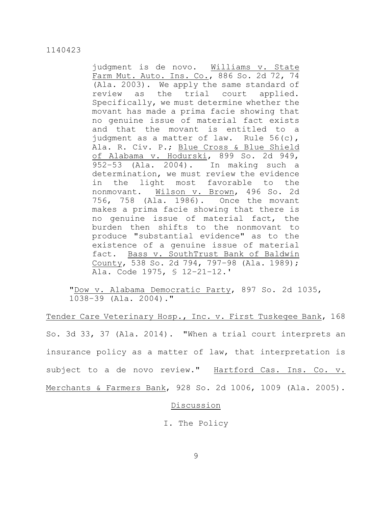judgment is de novo. Williams v. State Farm Mut. Auto. Ins. Co., 886 So. 2d 72, 74 (Ala. 2003). We apply the same standard of review as the trial court applied. Specifically, we must determine whether the movant has made a prima facie showing that no genuine issue of material fact exists and that the movant is entitled to a judgment as a matter of law. Rule 56(c), Ala. R. Civ. P.; Blue Cross & Blue Shield of Alabama v. Hodurski, 899 So. 2d 949, 952–53 (Ala. 2004). In making such a determination, we must review the evidence in the light most favorable to the nonmovant. Wilson v. Brown, 496 So. 2d 756, 758 (Ala. 1986). Once the movant makes a prima facie showing that there is no genuine issue of material fact, the burden then shifts to the nonmovant to produce "substantial evidence" as to the existence of a genuine issue of material fact. Bass v. SouthTrust Bank of Baldwin County, 538 So. 2d 794, 797–98 (Ala. 1989); Ala. Code 1975, § 12–21–12.'

"Dow v. Alabama Democratic Party, 897 So. 2d 1035, 1038–39 (Ala. 2004)."

Tender Care Veterinary Hosp., Inc. v. First Tuskegee Bank, 168 So. 3d 33, 37 (Ala. 2014). "When a trial court interprets an insurance policy as a matter of law, that interpretation is subject to a de novo review." Hartford Cas. Ins. Co. v. Merchants & Farmers Bank, 928 So. 2d 1006, 1009 (Ala. 2005).

# Discussion

I. The Policy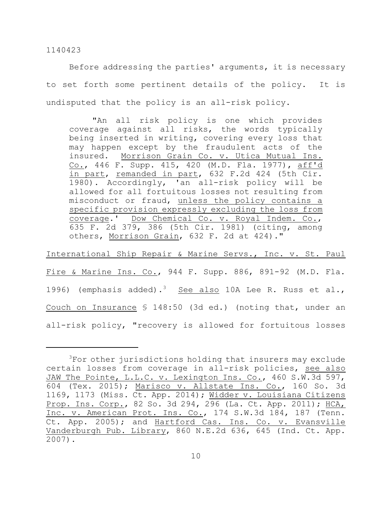Before addressing the parties' arguments, it is necessary to set forth some pertinent details of the policy. It is undisputed that the policy is an all-risk policy.

"An all risk policy is one which provides coverage against all risks, the words typically being inserted in writing, covering every loss that may happen except by the fraudulent acts of the insured. Morrison Grain Co. v. Utica Mutual Ins. Co., 446 F. Supp. 415, 420 (M.D. Fla. 1977), aff'd in part, remanded in part, 632 F.2d 424 (5th Cir. 1980). Accordingly, 'an all-risk policy will be allowed for all fortuitous losses not resulting from misconduct or fraud, unless the policy contains a specific provision expressly excluding the loss from coverage.' Dow Chemical Co. v. Royal Indem. Co., 635 F. 2d 379, 386 (5th Cir. 1981) (citing, among others, Morrison Grain, 632 F. 2d at 424)."

International Ship Repair & Marine Servs., Inc. v. St. Paul Fire & Marine Ins. Co., 944 F. Supp. 886, 891-92 (M.D. Fla. 1996) (emphasis added).<sup>3</sup> See also 10A Lee R. Russ et al., Couch on Insurance § 148:50 (3d ed.) (noting that, under an all-risk policy, "recovery is allowed for fortuitous losses

 $3$ For other jurisdictions holding that insurers may exclude certain losses from coverage in all-risk policies, see also JAW The Pointe, L.L.C. v. Lexington Ins. Co., 460 S.W.3d 597, 604 (Tex. 2015); Marisco v. Allstate Ins. Co., 160 So. 3d 1169, 1173 (Miss. Ct. App. 2014); Widder v. Louisiana Citizens Prop. Ins. Corp., 82 So. 3d 294, 296 (La. Ct. App. 2011); HCA, Inc. v. American Prot. Ins. Co., 174 S.W.3d 184, 187 (Tenn. Ct. App. 2005); and Hartford Cas. Ins. Co. v. Evansville Vanderburgh Pub. Library, 860 N.E.2d 636, 645 (Ind. Ct. App. 2007).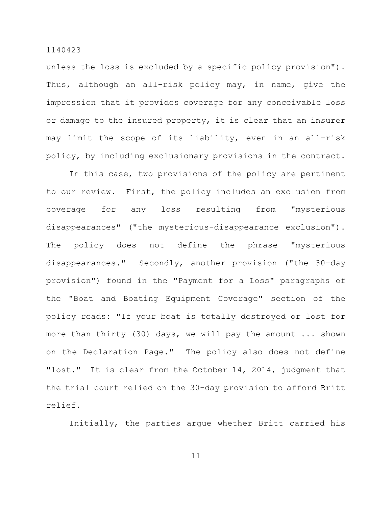unless the loss is excluded by a specific policy provision"). Thus, although an all-risk policy may, in name, give the impression that it provides coverage for any conceivable loss or damage to the insured property, it is clear that an insurer may limit the scope of its liability, even in an all-risk policy, by including exclusionary provisions in the contract.

In this case, two provisions of the policy are pertinent to our review. First, the policy includes an exclusion from coverage for any loss resulting from "mysterious disappearances" ("the mysterious-disappearance exclusion"). The policy does not define the phrase "mysterious disappearances." Secondly, another provision ("the 30-day provision") found in the "Payment for a Loss" paragraphs of the "Boat and Boating Equipment Coverage" section of the policy reads: "If your boat is totally destroyed or lost for more than thirty (30) days, we will pay the amount ... shown on the Declaration Page." The policy also does not define "lost." It is clear from the October 14, 2014, judgment that the trial court relied on the 30-day provision to afford Britt relief.

Initially, the parties argue whether Britt carried his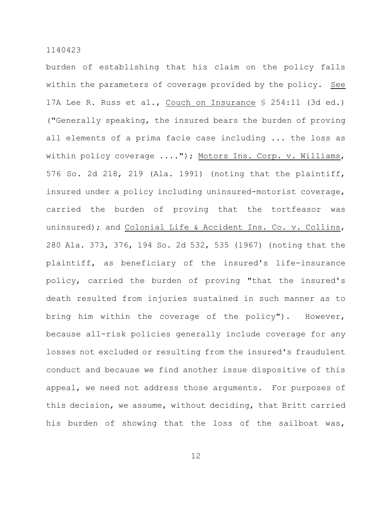burden of establishing that his claim on the policy falls within the parameters of coverage provided by the policy. See 17A Lee R. Russ et al., Couch on Insurance § 254:11 (3d ed.) ("Generally speaking, the insured bears the burden of proving all elements of a prima facie case including ... the loss as within policy coverage ...."); Motors Ins. Corp. v. Williams, 576 So. 2d 218, 219 (Ala. 1991) (noting that the plaintiff, insured under a policy including uninsured-motorist coverage, carried the burden of proving that the tortfeasor was uninsured); and Colonial Life & Accident Ins. Co. v. Collins, 280 Ala. 373, 376, 194 So. 2d 532, 535 (1967) (noting that the plaintiff, as beneficiary of the insured's life-insurance policy, carried the burden of proving "that the insured's death resulted from injuries sustained in such manner as to bring him within the coverage of the policy"). However, because all-risk policies generally include coverage for any losses not excluded or resulting from the insured's fraudulent conduct and because we find another issue dispositive of this appeal, we need not address those arguments. For purposes of this decision, we assume, without deciding, that Britt carried his burden of showing that the loss of the sailboat was,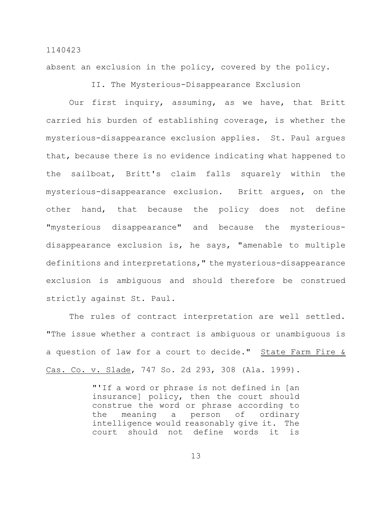absent an exclusion in the policy, covered by the policy.

II. The Mysterious-Disappearance Exclusion

Our first inquiry, assuming, as we have, that Britt carried his burden of establishing coverage, is whether the mysterious-disappearance exclusion applies. St. Paul argues that, because there is no evidence indicating what happened to the sailboat, Britt's claim falls squarely within the mysterious-disappearance exclusion. Britt argues, on the other hand, that because the policy does not define "mysterious disappearance" and because the mysteriousdisappearance exclusion is, he says, "amenable to multiple definitions and interpretations," the mysterious-disappearance exclusion is ambiguous and should therefore be construed strictly against St. Paul.

The rules of contract interpretation are well settled. "The issue whether a contract is ambiguous or unambiguous is a question of law for a court to decide." State Farm Fire & Cas. Co. v. Slade, 747 So. 2d 293, 308 (Ala. 1999).

> "'If a word or phrase is not defined in [an insurance] policy, then the court should construe the word or phrase according to the meaning a person of ordinary intelligence would reasonably give it. The court should not define words it is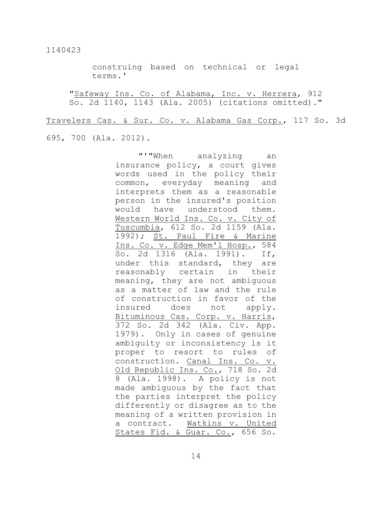construing based on technical or legal terms.'

"Safeway Ins. Co. of Alabama, Inc. v. Herrera, 912 So. 2d 1140, 1143 (Ala. 2005) (citations omitted)."

Travelers Cas. & Sur. Co. v. Alabama Gas Corp., 117 So. 3d

# 695, 700 (Ala. 2012).

"'"When analyzing an insurance policy, a court gives words used in the policy their common, everyday meaning and interprets them as a reasonable person in the insured's position would have understood them. Western World Ins. Co. v. City of Tuscumbia, 612 So. 2d 1159 (Ala. 1992); St. Paul Fire & Marine Ins. Co. v. Edge Mem'l Hosp., 584 So. 2d 1316 (Ala. 1991). If, under this standard, they are reasonably certain in their meaning, they are not ambiguous as a matter of law and the rule of construction in favor of the insured does not apply. Bituminous Cas. Corp. v. Harris, 372 So. 2d 342 (Ala. Civ. App. 1979). Only in cases of genuine ambiguity or inconsistency is it proper to resort to rules of construction. Canal Ins. Co. v. Old Republic Ins. Co., 718 So. 2d 8 (Ala. 1998). A policy is not made ambiguous by the fact that the parties interpret the policy differently or disagree as to the meaning of a written provision in a contract. Watkins v. United States Fid. & Guar. Co., 656 So.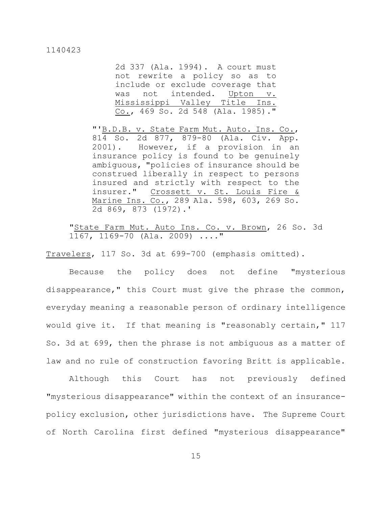2d 337 (Ala. 1994). A court must not rewrite a policy so as to include or exclude coverage that was not intended. Upton v. Mississippi Valley Title Ins. Co., 469 So. 2d 548 (Ala. 1985)."

"'B.D.B. v. State Farm Mut. Auto. Ins. Co., 814 So. 2d 877, 879-80 (Ala. Civ. App. 2001). However, if a provision in an insurance policy is found to be genuinely ambiguous, "policies of insurance should be construed liberally in respect to persons insured and strictly with respect to the insurer." Crossett v. St. Louis Fire & Marine Ins. Co., 289 Ala. 598, 603, 269 So. 2d 869, 873 (1972).'

"State Farm Mut. Auto Ins. Co. v. Brown, 26 So. 3d 1167, 1169-70 (Ala. 2009) ...."

Travelers, 117 So. 3d at 699-700 (emphasis omitted).

Because the policy does not define "mysterious disappearance," this Court must give the phrase the common, everyday meaning a reasonable person of ordinary intelligence would give it. If that meaning is "reasonably certain," 117 So. 3d at 699, then the phrase is not ambiguous as a matter of law and no rule of construction favoring Britt is applicable.

Although this Court has not previously defined "mysterious disappearance" within the context of an insurancepolicy exclusion, other jurisdictions have. The Supreme Court of North Carolina first defined "mysterious disappearance"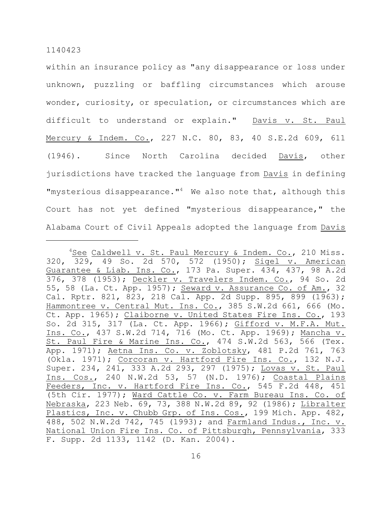within an insurance policy as "any disappearance or loss under unknown, puzzling or baffling circumstances which arouse wonder, curiosity, or speculation, or circumstances which are difficult to understand or explain." Davis v. St. Paul Mercury & Indem. Co., 227 N.C. 80, 83, 40 S.E.2d 609, 611 (1946). Since North Carolina decided Davis, other jurisdictions have tracked the language from Davis in defining "mysterious disappearance." $4$  We also note that, although this Court has not yet defined "mysterious disappearance," the Alabama Court of Civil Appeals adopted the language from Davis

 $4$ See Caldwell v. St. Paul Mercury & Indem. Co., 210 Miss. 320, 329, 49 So. 2d 570, 572 (1950); Sigel v. American Guarantee & Liab. Ins. Co., 173 Pa. Super. 434, 437, 98 A.2d 376, 378 (1953); Deckler v. Travelers Indem. Co., 94 So. 2d 55, 58 (La. Ct. App. 1957); Seward v. Assurance Co. of Am., 32 Cal. Rptr. 821, 823, 218 Cal. App. 2d Supp. 895, 899 (1963); Hammontree v. Central Mut. Ins. Co., 385 S.W.2d 661, 666 (Mo. Ct. App. 1965); Claiborne v. United States Fire Ins. Co., 193 So. 2d 315, 317 (La. Ct. App. 1966); Gifford v. M.F.A. Mut. Ins. Co., 437 S.W.2d 714, 716 (Mo. Ct. App. 1969); Mancha v. St. Paul Fire & Marine Ins. Co., 474 S.W.2d 563, 566 (Tex. App. 1971); Aetna Ins. Co. v. Zoblotsky, 481 P.2d 761, 763 (Okla. 1971); Corcoran v. Hartford Fire Ins. Co., 132 N.J. Super. 234, 241, 333 A.2d 293, 297 (1975); Lovas v. St. Paul Ins. Cos., 240 N.W.2d 53, 57 (N.D. 1976); Coastal Plains Feeders, Inc. v. Hartford Fire Ins. Co., 545 F.2d 448, 451 (5th Cir. 1977); Ward Cattle Co. v. Farm Bureau Ins. Co. of Nebraska, 223 Neb. 69, 73, 388 N.W.2d 89, 92 (1986); Libralter Plastics, Inc. v. Chubb Grp. of Ins. Cos., 199 Mich. App. 482, 488, 502 N.W.2d 742, 745 (1993); and Farmland Indus., Inc. v. National Union Fire Ins. Co. of Pittsburgh, Pennsylvania, 333 F. Supp. 2d 1133, 1142 (D. Kan. 2004).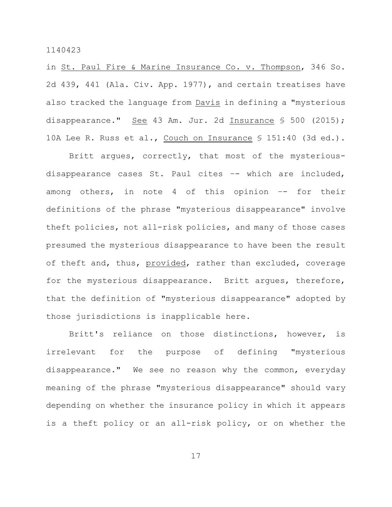in St. Paul Fire & Marine Insurance Co. v. Thompson, 346 So. 2d 439, 441 (Ala. Civ. App. 1977), and certain treatises have also tracked the language from Davis in defining a "mysterious disappearance." See 43 Am. Jur. 2d Insurance § 500 (2015); 10A Lee R. Russ et al., Couch on Insurance § 151:40 (3d ed.).

Britt argues, correctly, that most of the mysteriousdisappearance cases St. Paul cites –- which are included, among others, in note 4 of this opinion -- for their definitions of the phrase "mysterious disappearance" involve theft policies, not all-risk policies, and many of those cases presumed the mysterious disappearance to have been the result of theft and, thus, provided, rather than excluded, coverage for the mysterious disappearance. Britt argues, therefore, that the definition of "mysterious disappearance" adopted by those jurisdictions is inapplicable here.

Britt's reliance on those distinctions, however, is irrelevant for the purpose of defining "mysterious disappearance." We see no reason why the common, everyday meaning of the phrase "mysterious disappearance" should vary depending on whether the insurance policy in which it appears is a theft policy or an all-risk policy, or on whether the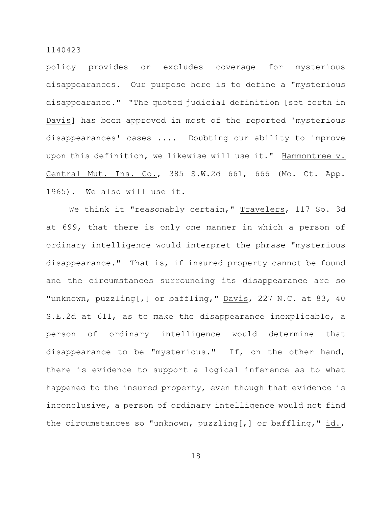policy provides or excludes coverage for mysterious disappearances. Our purpose here is to define a "mysterious disappearance." "The quoted judicial definition [set forth in Davis] has been approved in most of the reported 'mysterious disappearances' cases .... Doubting our ability to improve upon this definition, we likewise will use it." Hammontree v. Central Mut. Ins. Co., 385 S.W.2d 661, 666 (Mo. Ct. App. 1965). We also will use it.

We think it "reasonably certain," Travelers, 117 So. 3d at 699, that there is only one manner in which a person of ordinary intelligence would interpret the phrase "mysterious disappearance." That is, if insured property cannot be found and the circumstances surrounding its disappearance are so "unknown, puzzling[,] or baffling," Davis, 227 N.C. at 83, 40 S.E.2d at 611, as to make the disappearance inexplicable, a person of ordinary intelligence would determine that disappearance to be "mysterious." If, on the other hand, there is evidence to support a logical inference as to what happened to the insured property, even though that evidence is inconclusive, a person of ordinary intelligence would not find the circumstances so "unknown, puzzling[,] or baffling," id.,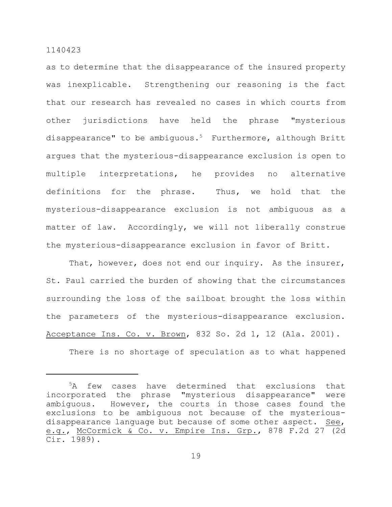as to determine that the disappearance of the insured property was inexplicable. Strengthening our reasoning is the fact that our research has revealed no cases in which courts from other jurisdictions have held the phrase "mysterious disappearance" to be ambiguous.<sup>5</sup> Furthermore, although Britt argues that the mysterious-disappearance exclusion is open to multiple interpretations, he provides no alternative definitions for the phrase. Thus, we hold that the mysterious-disappearance exclusion is not ambiguous as a matter of law. Accordingly, we will not liberally construe the mysterious-disappearance exclusion in favor of Britt.

That, however, does not end our inquiry. As the insurer, St. Paul carried the burden of showing that the circumstances surrounding the loss of the sailboat brought the loss within the parameters of the mysterious-disappearance exclusion. Acceptance Ins. Co. v. Brown, 832 So. 2d 1, 12 (Ala. 2001).

There is no shortage of speculation as to what happened

 $5A$  few cases have determined that exclusions that incorporated the phrase "mysterious disappearance" were ambiguous. However, the courts in those cases found the exclusions to be ambiguous not because of the mysteriousdisappearance language but because of some other aspect. See, e.g., McCormick & Co. v. Empire Ins. Grp., 878 F.2d 27 (2d Cir. 1989).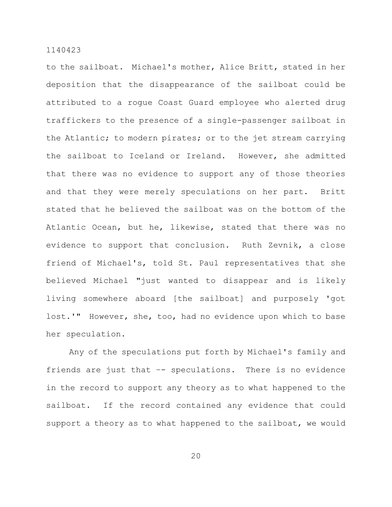to the sailboat. Michael's mother, Alice Britt, stated in her deposition that the disappearance of the sailboat could be attributed to a rogue Coast Guard employee who alerted drug traffickers to the presence of a single-passenger sailboat in the Atlantic; to modern pirates; or to the jet stream carrying the sailboat to Iceland or Ireland. However, she admitted that there was no evidence to support any of those theories and that they were merely speculations on her part. Britt stated that he believed the sailboat was on the bottom of the Atlantic Ocean, but he, likewise, stated that there was no evidence to support that conclusion. Ruth Zevnik, a close friend of Michael's, told St. Paul representatives that she believed Michael "just wanted to disappear and is likely living somewhere aboard [the sailboat] and purposely 'got lost.'" However, she, too, had no evidence upon which to base her speculation.

Any of the speculations put forth by Michael's family and friends are just that -- speculations. There is no evidence in the record to support any theory as to what happened to the sailboat. If the record contained any evidence that could support a theory as to what happened to the sailboat, we would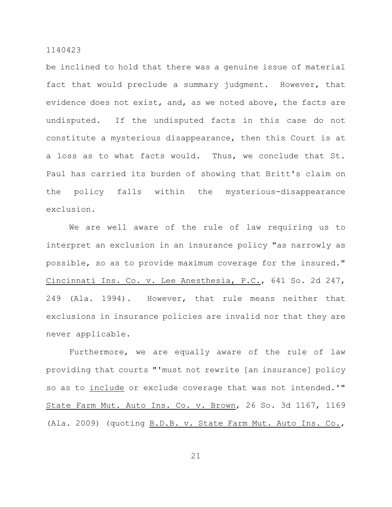be inclined to hold that there was a genuine issue of material fact that would preclude a summary judgment. However, that evidence does not exist, and, as we noted above, the facts are undisputed. If the undisputed facts in this case do not constitute a mysterious disappearance, then this Court is at a loss as to what facts would. Thus, we conclude that St. Paul has carried its burden of showing that Britt's claim on the policy falls within the mysterious-disappearance exclusion.

We are well aware of the rule of law requiring us to interpret an exclusion in an insurance policy "as narrowly as possible, so as to provide maximum coverage for the insured." Cincinnati Ins. Co. v. Lee Anesthesia, P.C., 641 So. 2d 247, 249 (Ala. 1994). However, that rule means neither that exclusions in insurance policies are invalid nor that they are never applicable.

Furthermore, we are equally aware of the rule of law providing that courts "'must not rewrite [an insurance] policy so as to include or exclude coverage that was not intended.'" State Farm Mut. Auto Ins. Co. v. Brown, 26 So. 3d 1167, 1169 (Ala. 2009) (quoting B.D.B. v. State Farm Mut. Auto Ins. Co.,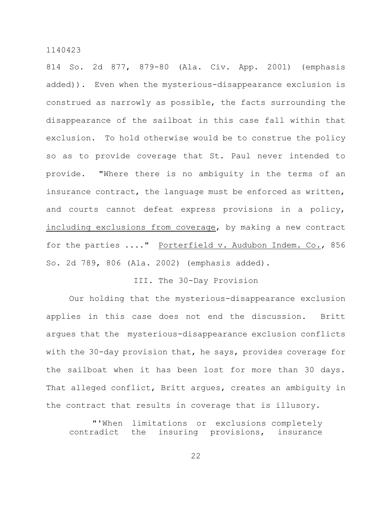814 So. 2d 877, 879-80 (Ala. Civ. App. 2001) (emphasis added)). Even when the mysterious-disappearance exclusion is construed as narrowly as possible, the facts surrounding the disappearance of the sailboat in this case fall within that exclusion. To hold otherwise would be to construe the policy so as to provide coverage that St. Paul never intended to provide. "Where there is no ambiguity in the terms of an insurance contract, the language must be enforced as written, and courts cannot defeat express provisions in a policy, including exclusions from coverage, by making a new contract for the parties ...." Porterfield v. Audubon Indem. Co., 856 So. 2d 789, 806 (Ala. 2002) (emphasis added).

# III. The 30-Day Provision

Our holding that the mysterious-disappearance exclusion applies in this case does not end the discussion. Britt argues that the mysterious-disappearance exclusion conflicts with the 30-day provision that, he says, provides coverage for the sailboat when it has been lost for more than 30 days. That alleged conflict, Britt argues, creates an ambiguity in the contract that results in coverage that is illusory.

"'When limitations or exclusions completely contradict the insuring provisions, insurance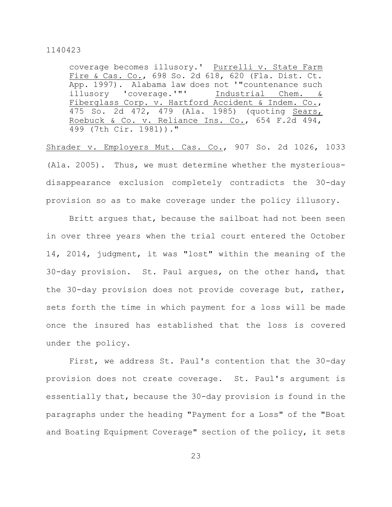coverage becomes illusory.' Purrelli v. State Farm Fire & Cas. Co., 698 So. 2d 618, 620 (Fla. Dist. Ct. App. 1997). Alabama law does not '"countenance such illusory 'coverage.'"' Industrial Chem. & Fiberglass Corp. v. Hartford Accident & Indem. Co., 475 So. 2d 472, 479 (Ala. 1985) (quoting Sears, Roebuck & Co. v. Reliance Ins. Co., 654 F.2d 494, 499 (7th Cir. 1981))."

Shrader v. Employers Mut. Cas. Co., 907 So. 2d 1026, 1033 (Ala. 2005). Thus, we must determine whether the mysteriousdisappearance exclusion completely contradicts the 30-day provision so as to make coverage under the policy illusory.

Britt argues that, because the sailboat had not been seen in over three years when the trial court entered the October 14, 2014, judgment, it was "lost" within the meaning of the 30-day provision. St. Paul argues, on the other hand, that the 30-day provision does not provide coverage but, rather, sets forth the time in which payment for a loss will be made once the insured has established that the loss is covered under the policy.

First, we address St. Paul's contention that the 30-day provision does not create coverage. St. Paul's argument is essentially that, because the 30-day provision is found in the paragraphs under the heading "Payment for a Loss" of the "Boat and Boating Equipment Coverage" section of the policy, it sets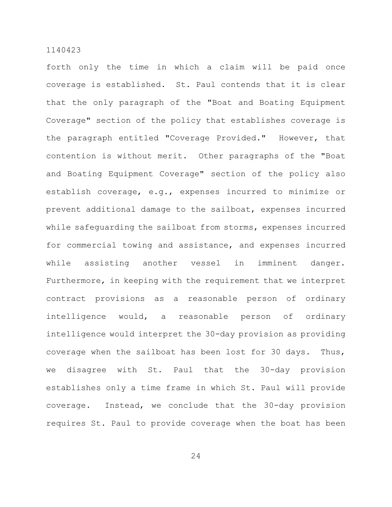forth only the time in which a claim will be paid once coverage is established. St. Paul contends that it is clear that the only paragraph of the "Boat and Boating Equipment Coverage" section of the policy that establishes coverage is the paragraph entitled "Coverage Provided." However, that contention is without merit. Other paragraphs of the "Boat and Boating Equipment Coverage" section of the policy also establish coverage, e.g., expenses incurred to minimize or prevent additional damage to the sailboat, expenses incurred while safequarding the sailboat from storms, expenses incurred for commercial towing and assistance, and expenses incurred while assisting another vessel in imminent danger. Furthermore, in keeping with the requirement that we interpret contract provisions as a reasonable person of ordinary intelligence would, a reasonable person of ordinary intelligence would interpret the 30-day provision as providing coverage when the sailboat has been lost for 30 days. Thus, we disagree with St. Paul that the 30-day provision establishes only a time frame in which St. Paul will provide coverage. Instead, we conclude that the 30-day provision requires St. Paul to provide coverage when the boat has been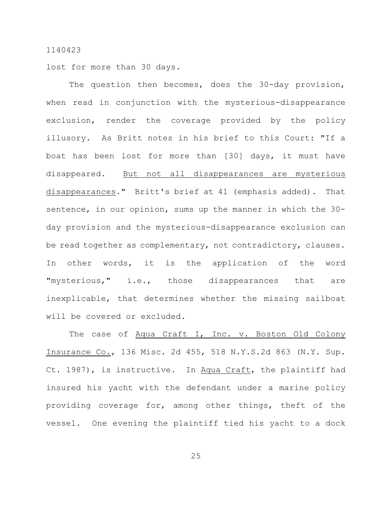lost for more than 30 days.

The question then becomes, does the 30-day provision, when read in conjunction with the mysterious-disappearance exclusion, render the coverage provided by the policy illusory. As Britt notes in his brief to this Court: "If a boat has been lost for more than [30] days, it must have disappeared. But not all disappearances are mysterious disappearances." Britt's brief at 41 (emphasis added). That sentence, in our opinion, sums up the manner in which the 30 day provision and the mysterious-disappearance exclusion can be read together as complementary, not contradictory, clauses. In other words, it is the application of the word "mysterious," i.e., those disappearances that are inexplicable, that determines whether the missing sailboat will be covered or excluded.

The case of Aqua Craft I, Inc. v. Boston Old Colony Insurance Co., 136 Misc. 2d 455, 518 N.Y.S.2d 863 (N.Y. Sup. Ct. 1987), is instructive. In Aqua Craft, the plaintiff had insured his yacht with the defendant under a marine policy providing coverage for, among other things, theft of the vessel. One evening the plaintiff tied his yacht to a dock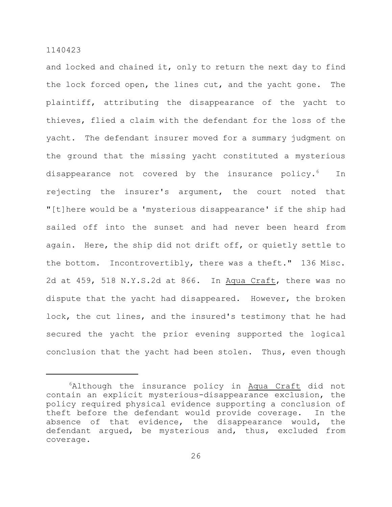and locked and chained it, only to return the next day to find the lock forced open, the lines cut, and the yacht gone. The plaintiff, attributing the disappearance of the yacht to thieves, flied a claim with the defendant for the loss of the yacht. The defendant insurer moved for a summary judgment on the ground that the missing yacht constituted a mysterious disappearance not covered by the insurance policy. $6$  In rejecting the insurer's argument, the court noted that "[t]here would be a 'mysterious disappearance' if the ship had sailed off into the sunset and had never been heard from again. Here, the ship did not drift off, or quietly settle to the bottom. Incontrovertibly, there was a theft." 136 Misc. 2d at 459, 518 N.Y.S.2d at 866. In Aqua Craft, there was no dispute that the yacht had disappeared. However, the broken lock, the cut lines, and the insured's testimony that he had secured the yacht the prior evening supported the logical conclusion that the yacht had been stolen. Thus, even though

 $6$ Although the insurance policy in Aqua Craft did not contain an explicit mysterious-disappearance exclusion, the policy required physical evidence supporting a conclusion of theft before the defendant would provide coverage. In the absence of that evidence, the disappearance would, the defendant argued, be mysterious and, thus, excluded from coverage.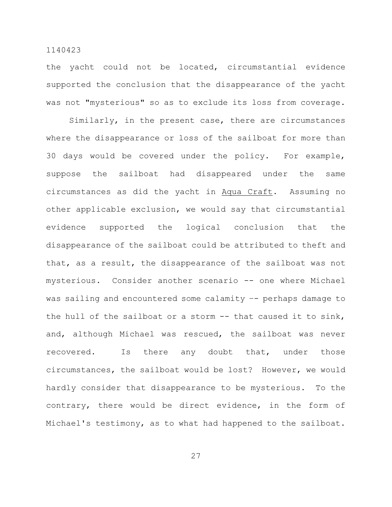# the yacht could not be located, circumstantial evidence supported the conclusion that the disappearance of the yacht was not "mysterious" so as to exclude its loss from coverage.

1140423

Similarly, in the present case, there are circumstances where the disappearance or loss of the sailboat for more than 30 days would be covered under the policy. For example, suppose the sailboat had disappeared under the same circumstances as did the yacht in Aqua Craft. Assuming no other applicable exclusion, we would say that circumstantial evidence supported the logical conclusion that the disappearance of the sailboat could be attributed to theft and that, as a result, the disappearance of the sailboat was not mysterious. Consider another scenario -- one where Michael was sailing and encountered some calamity -- perhaps damage to the hull of the sailboat or a storm -- that caused it to sink, and, although Michael was rescued, the sailboat was never recovered. Is there any doubt that, under those circumstances, the sailboat would be lost? However, we would hardly consider that disappearance to be mysterious. To the contrary, there would be direct evidence, in the form of Michael's testimony, as to what had happened to the sailboat.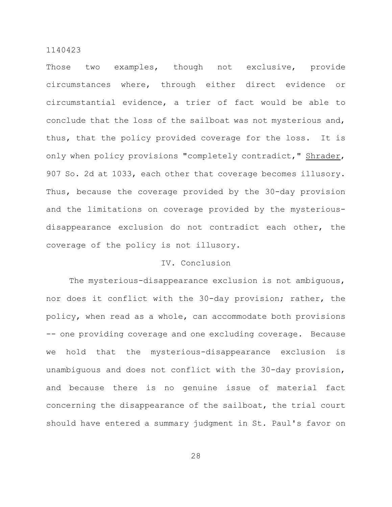Those two examples, though not exclusive, provide circumstances where, through either direct evidence or circumstantial evidence, a trier of fact would be able to conclude that the loss of the sailboat was not mysterious and, thus, that the policy provided coverage for the loss. It is only when policy provisions "completely contradict," Shrader, 907 So. 2d at 1033, each other that coverage becomes illusory. Thus, because the coverage provided by the 30-day provision and the limitations on coverage provided by the mysteriousdisappearance exclusion do not contradict each other, the coverage of the policy is not illusory.

# IV. Conclusion

The mysterious-disappearance exclusion is not ambiguous, nor does it conflict with the 30-day provision; rather, the policy, when read as a whole, can accommodate both provisions -- one providing coverage and one excluding coverage. Because we hold that the mysterious-disappearance exclusion is unambiguous and does not conflict with the 30-day provision, and because there is no genuine issue of material fact concerning the disappearance of the sailboat, the trial court should have entered a summary judgment in St. Paul's favor on